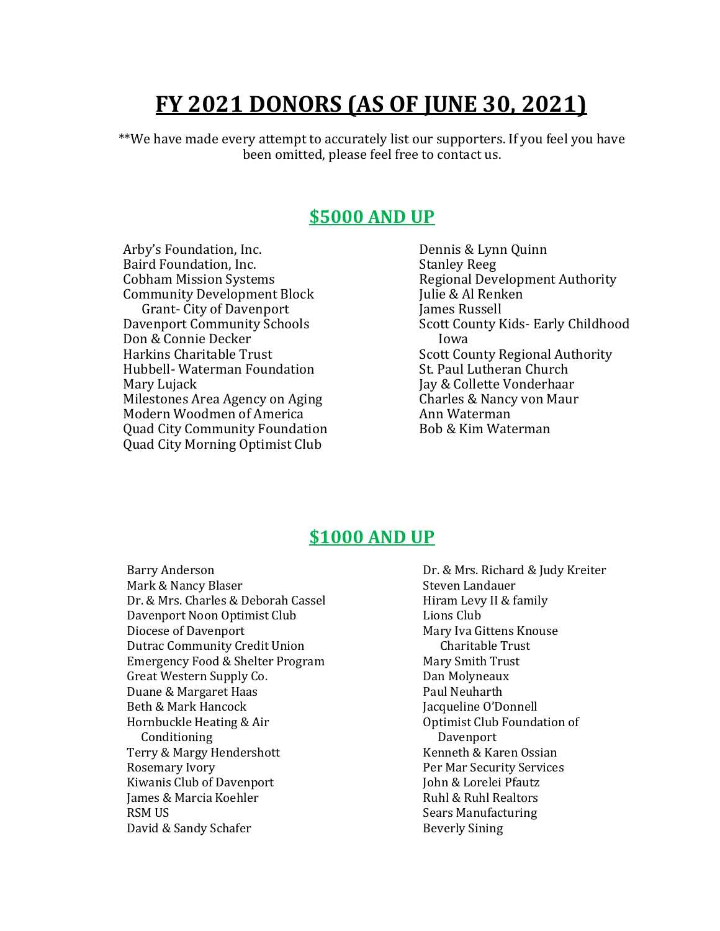# **FY 2021 DONORS (AS OF JUNE 30, 2021)**

\*\*We have made every attempt to accurately list our supporters. If you feel you have been omitted, please feel free to contact us.

# **\$5000 AND UP**

Arby's Foundation, Inc. Baird Foundation, Inc. Cobham Mission Systems Community Development Block Grant- City of Davenport Davenport Community Schools Don & Connie Decker Harkins Charitable Trust Hubbell- Waterman Foundation Mary Lujack Milestones Area Agency on Aging Modern Woodmen of America Quad City Community Foundation Quad City Morning Optimist Club

Dennis & Lynn Quinn Stanley Reeg Regional Development Authority Julie & Al Renken James Russell Scott County Kids- Early Childhood Iowa Scott County Regional Authority St. Paul Lutheran Church Jay & Collette Vonderhaar Charles & Nancy von Maur Ann Waterman Bob & Kim Waterman

# **\$1000 AND UP**

Barry Anderson Mark & Nancy Blaser Dr. & Mrs. Charles & Deborah Cassel Davenport Noon Optimist Club Diocese of Davenport Dutrac Community Credit Union Emergency Food & Shelter Program Great Western Supply Co. Duane & Margaret Haas Beth & Mark Hancock Hornbuckle Heating & Air Conditioning Terry & Margy Hendershott Rosemary Ivory Kiwanis Club of Davenport James & Marcia Koehler RSM US David & Sandy Schafer

Dr. & Mrs. Richard & Judy Kreiter Steven Landauer Hiram Levy II & family Lions Club Mary Iva Gittens Knouse Charitable Trust Mary Smith Trust Dan Molyneaux Paul Neuharth Jacqueline O'Donnell Optimist Club Foundation of Davenport Kenneth & Karen Ossian Per Mar Security Services John & Lorelei Pfautz Ruhl & Ruhl Realtors Sears Manufacturing Beverly Sining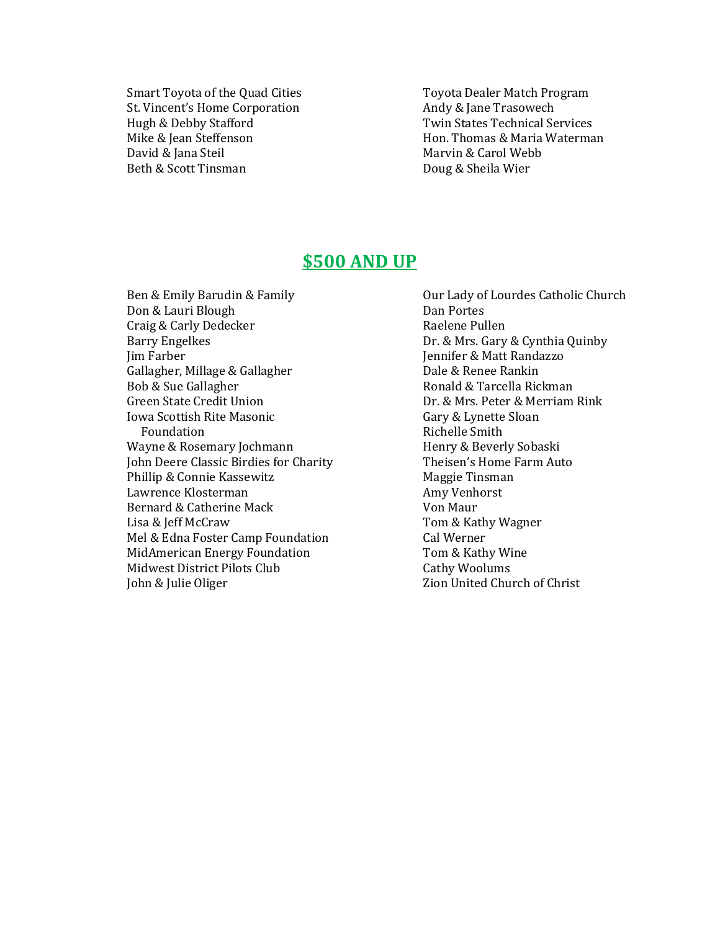Smart Toyota of the Quad Cities St. Vincent's Home Corporation Hugh & Debby Stafford Mike & Jean Steffenson David & Jana Steil Beth & Scott Tinsman

Toyota Dealer Match Program Andy & Jane Trasowech Twin States Technical Services Hon. Thomas & Maria Waterman Marvin & Carol Webb Doug & Sheila Wier

## **\$500 AND UP**

Ben & Emily Barudin & Family Don & Lauri Blough Craig & Carly Dedecker Barry Engelkes Jim Farber Gallagher, Millage & Gallagher Bob & Sue Gallagher Green State Credit Union Iowa Scottish Rite Masonic Foundation Wayne & Rosemary Jochmann John Deere Classic Birdies for Charity Phillip & Connie Kassewitz Lawrence Klosterman Bernard & Catherine Mack Lisa & Jeff McCraw Mel & Edna Foster Camp Foundation MidAmerican Energy Foundation Midwest District Pilots Club John & Julie Oliger

Our Lady of Lourdes Catholic Church Dan Portes Raelene Pullen Dr. & Mrs. Gary & Cynthia Quinby Jennifer & Matt Randazzo Dale & Renee Rankin Ronald & Tarcella Rickman Dr. & Mrs. Peter & Merriam Rink Gary & Lynette Sloan Richelle Smith Henry & Beverly Sobaski Theisen's Home Farm Auto Maggie Tinsman Amy Venhorst Von Maur Tom & Kathy Wagner Cal Werner Tom & Kathy Wine Cathy Woolums Zion United Church of Christ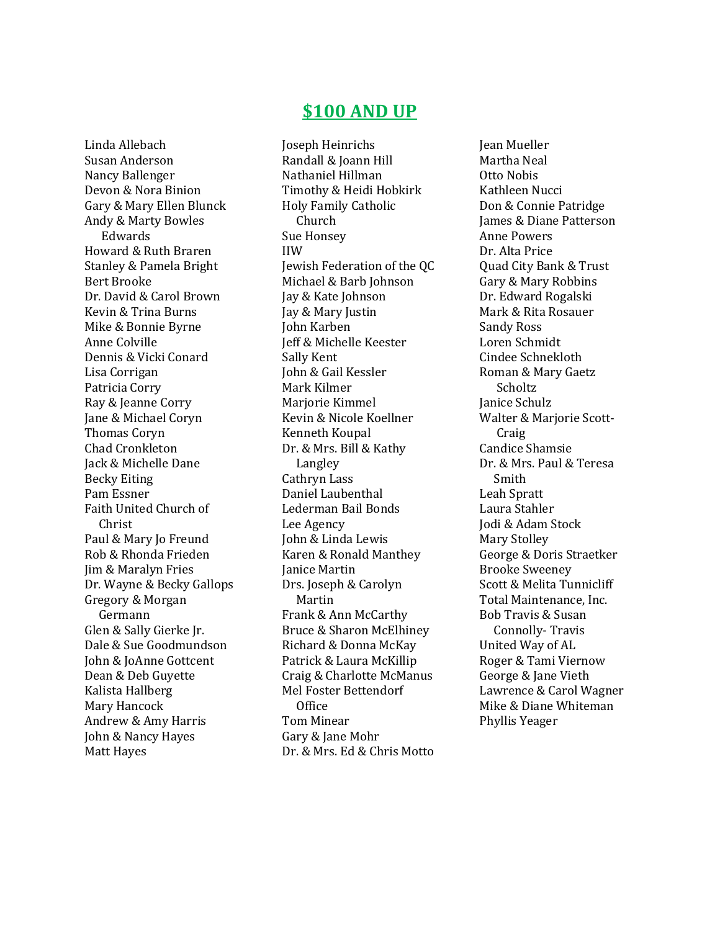## Linda Allebach Susan Anderson Nancy Ballenger Devon & Nora Binion Gary & Mary Ellen Blunck Andy & Marty Bowles Edwards Howard & Ruth Braren Stanley & Pamela Bright Bert Brooke Dr. David & Carol Brown Kevin & Trina Burns Mike & Bonnie Byrne Anne Colville Dennis & Vicki Conard Lisa Corrigan Patricia Corry Ray & Jeanne Corry Jane & Michael Coryn Thomas Coryn Chad Cronkleton Jack & Michelle Dane Becky Eiting Pam Essner Faith United Church of Christ Paul & Mary Jo Freund Rob & Rhonda Frieden Jim & Maralyn Fries Dr. Wayne & Becky Gallops Gregory & Morgan Germann Glen & Sally Gierke Jr. Dale & Sue Goodmundson John & JoAnne Gottcent Dean & Deb Guyette Kalista Hallberg Mary Hancock Andrew & Amy Harris John & Nancy Hayes Matt Hayes

# **\$100 AND UP**

Joseph Heinrichs Randall & Joann Hill Nathaniel Hillman Timothy & Heidi Hobkirk Holy Family Catholic Church Sue Honsey IIW Jewish Federation of the QC Michael & Barb Johnson Jay & Kate Johnson Jay & Mary Justin John Karben Jeff & Michelle Keester Sally Kent John & Gail Kessler Mark Kilmer Marjorie Kimmel Kevin & Nicole Koellner Kenneth Koupal Dr. & Mrs. Bill & Kathy Langley Cathryn Lass Daniel Laubenthal Lederman Bail Bonds Lee Agency John & Linda Lewis Karen & Ronald Manthey Janice Martin Drs. Joseph & Carolyn Martin Frank & Ann McCarthy Bruce & Sharon McElhiney Richard & Donna McKay Patrick & Laura McKillip Craig & Charlotte McManus Mel Foster Bettendorf **Office** Tom Minear Gary & Jane Mohr Dr. & Mrs. Ed & Chris Motto

Jean Mueller Martha Neal Otto Nobis Kathleen Nucci Don & Connie Patridge James & Diane Patterson Anne Powers Dr. Alta Price Quad City Bank & Trust Gary & Mary Robbins Dr. Edward Rogalski Mark & Rita Rosauer Sandy Ross Loren Schmidt Cindee Schnekloth Roman & Mary Gaetz Scholtz Janice Schulz Walter & Marjorie Scott- Craig Candice Shamsie Dr. & Mrs. Paul & Teresa Smith Leah Spratt Laura Stahler Jodi & Adam Stock Mary Stolley George & Doris Straetker Brooke Sweeney Scott & Melita Tunnicliff Total Maintenance, Inc. Bob Travis & Susan Connolly- Travis United Way of AL Roger & Tami Viernow George & Jane Vieth Lawrence & Carol Wagner Mike & Diane Whiteman Phyllis Yeager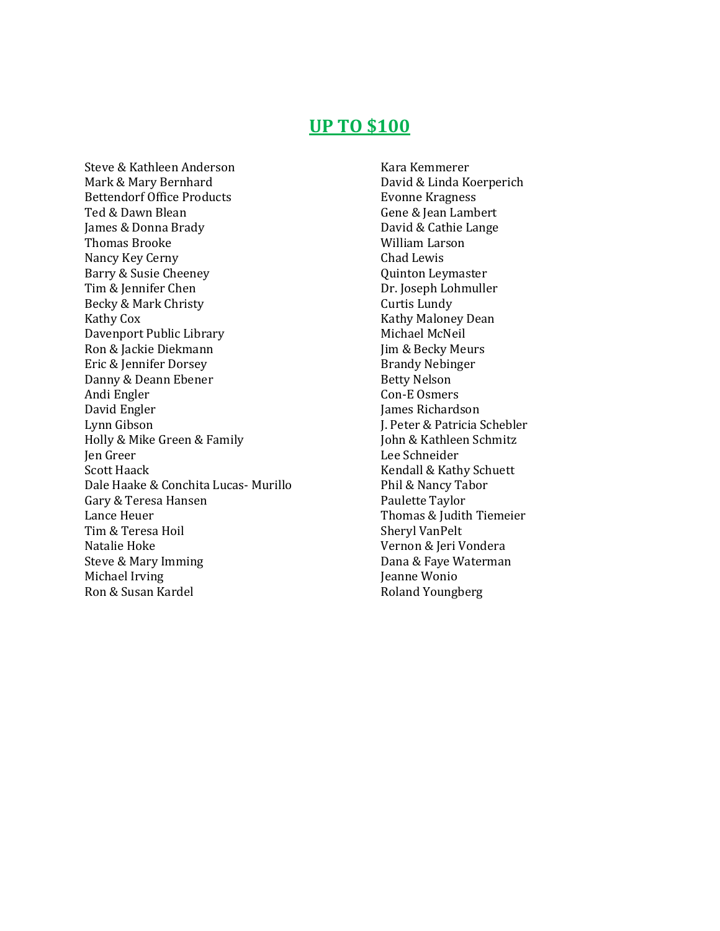# **UP TO \$100**

Steve & Kathleen Anderson Mark & Mary Bernhard Bettendorf Office Products Ted & Dawn Blean James & Donna Brady Thomas Brooke Nancy Key Cerny Barry & Susie Cheeney Tim & Jennifer Chen Becky & Mark Christy Kathy Cox Davenport Public Library Ron & Jackie Diekmann Eric & Jennifer Dorsey Danny & Deann Ebener Andi Engler David Engler Lynn Gibson Holly & Mike Green & Family Jen Greer Scott Haack Dale Haake & Conchita Lucas- Murillo Gary & Teresa Hansen Lance Heuer Tim & Teresa Hoil Natalie Hoke Steve & Mary Imming Michael Irving Ron & Susan Kardel

Kara Kemmerer David & Linda Koerperich Evonne Kragness Gene & Jean Lambert David & Cathie Lange William Larson Chad Lewis Quinton Leymaster Dr. Joseph Lohmuller Curtis Lundy Kathy Maloney Dean Michael McNeil Jim & Becky Meurs Brandy Nebinger Betty Nelson Con-E Osmers James Richardson J. Peter & Patricia Schebler John & Kathleen Schmitz Lee Schneider Kendall & Kathy Schuett Phil & Nancy Tabor Paulette Taylor Thomas & Judith Tiemeier Sheryl VanPelt Vernon & Jeri Vondera Dana & Faye Waterman Jeanne Wonio Roland Youngberg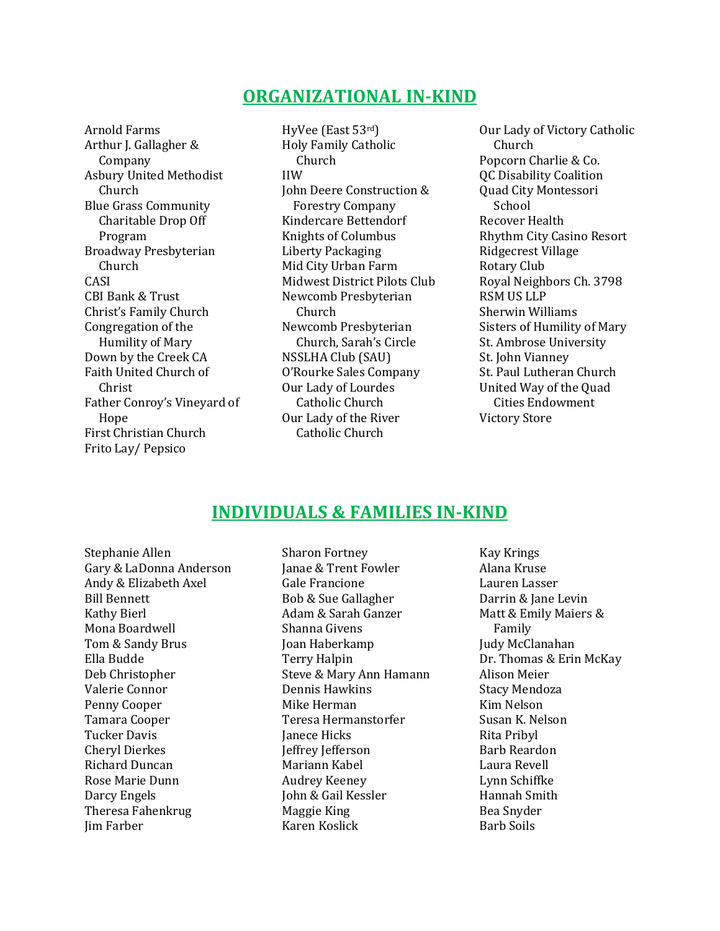# **ORGANIZATIONAL IN-KIND**

Arnold Farms Arthur J. Gallagher & Company Asbury United Methodist Church Blue Grass Community Charitable Drop Off Program Broadway Presbyterian Church CASI CBI Bank & Trust Christ's Family Church Congregation of the Humility of Mary Down by the Creek CA Faith United Church of Christ Father Conroy's Vineyard of Hope First Christian Church Frito Lay/ Pepsico

HyVee (East 53rd) Holy Family Catholic Church IIW John Deere Construction & Forestry Company Kindercare Bettendorf Knights of Columbus Liberty Packaging Mid City Urban Farm Midwest District Pilots Club Newcomb Presbyterian Church Newcomb Presbyterian Church, Sarah's Circle NSSLHA Club (SAU) O'Rourke Sales Company Our Lady of Lourdes Catholic Church Our Lady of the River Catholic Church

Our Lady of Victory Catholic Church Popcorn Charlie & Co. QC Disability Coalition Quad City Montessori School Recover Health Rhythm City Casino Resort Ridgecrest Village Rotary Club Royal Neighbors Ch. 3798 RSM US LLP Sherwin Williams Sisters of Humility of Mary St. Ambrose University St. John Vianney St. Paul Lutheran Church United Way of the Quad Cities Endowment Victory Store

# **INDIVIDUALS & FAMILIES IN-KIND**

Stephanie Allen Gary & LaDonna Anderson Andy & Elizabeth Axel Bill Bennett Kathy Bierl Mona Boardwell Tom & Sandy Brus Ella Budde Deb Christopher Valerie Connor Penny Cooper Tamara Cooper Tucker Davis Cheryl Dierkes Richard Duncan Rose Marie Dunn Darcy Engels Theresa Fahenkrug Jim Farber

Sharon Fortney Janae & Trent Fowler Gale Francione Bob & Sue Gallagher Adam & Sarah Ganzer Shanna Givens Joan Haberkamp Terry Halpin Steve & Mary Ann Hamann Dennis Hawkins Mike Herman Teresa Hermanstorfer Janece Hicks Jeffrey Jefferson Mariann Kabel Audrey Keeney John & Gail Kessler Maggie King Karen Koslick

Kay Krings Alana Kruse Lauren Lasser Darrin & Jane Levin Matt & Emily Maiers & Family Judy McClanahan Dr. Thomas & Erin McKay Alison Meier Stacy Mendoza Kim Nelson Susan K. Nelson Rita Pribyl Barb Reardon Laura Revell Lynn Schiffke Hannah Smith Bea Snyder Barb Soils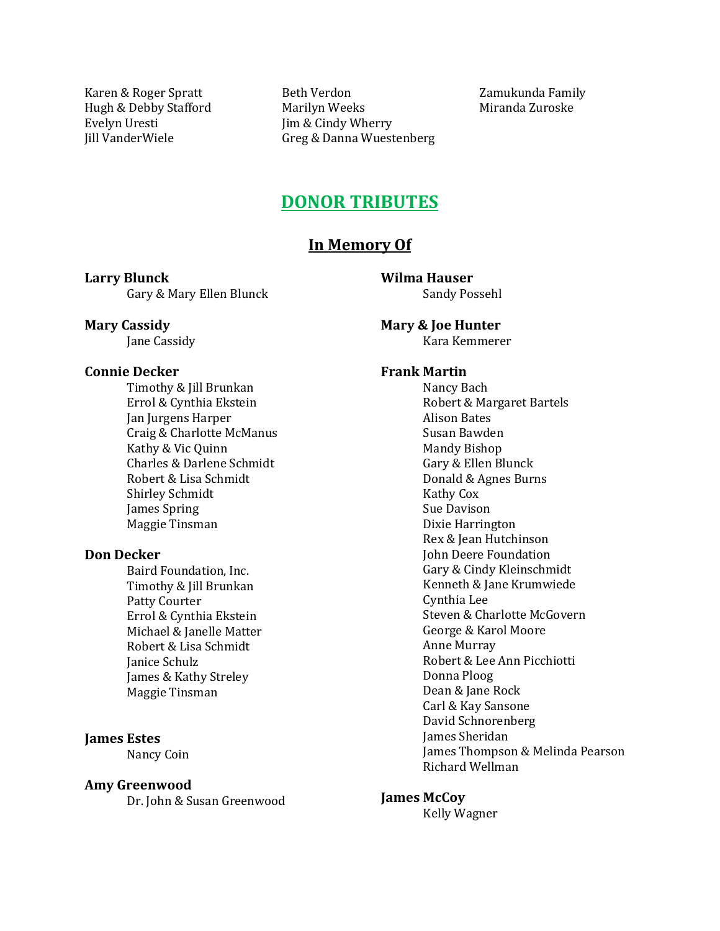Karen & Roger Spratt Hugh & Debby Stafford Evelyn Uresti Jill VanderWiele

Beth Verdon Marilyn Weeks Jim & Cindy Wherry Greg & Danna Wuestenberg

Zamukunda Family Miranda Zuroske

# **DONOR TRIBUTES**

## **In Memory Of**

**Larry Blunck** Gary & Mary Ellen Blunck **Wilma Hauser** Sandy Possehl

**Mary & Joe Hunter**

Kara Kemmerer

## **Frank Martin**

Nancy Bach Robert & Margaret Bartels Alison Bates Susan Bawden Mandy Bishop Gary & Ellen Blunck Donald & Agnes Burns Kathy Cox Sue Davison Dixie Harrington Rex & Jean Hutchinson John Deere Foundation Gary & Cindy Kleinschmidt Kenneth & Jane Krumwiede Cynthia Lee Steven & Charlotte McGovern George & Karol Moore Anne Murray Robert & Lee Ann Picchiotti Donna Ploog Dean & Jane Rock Carl & Kay Sansone David Schnorenberg James Sheridan James Thompson & Melinda Pearson Richard Wellman

#### **James McCoy**

Kelly Wagner

# **Mary Cassidy**

Jane Cassidy

### **Connie Decker**

Timothy & Jill Brunkan Errol & Cynthia Ekstein Jan Jurgens Harper Craig & Charlotte McManus Kathy & Vic Quinn Charles & Darlene Schmidt Robert & Lisa Schmidt Shirley Schmidt James Spring Maggie Tinsman

### **Don Decker**

Baird Foundation, Inc. Timothy & Jill Brunkan Patty Courter Errol & Cynthia Ekstein Michael & Janelle Matter Robert & Lisa Schmidt Janice Schulz James & Kathy Streley Maggie Tinsman

### **James Estes**

Nancy Coin

#### **Amy Greenwood**

Dr. John & Susan Greenwood